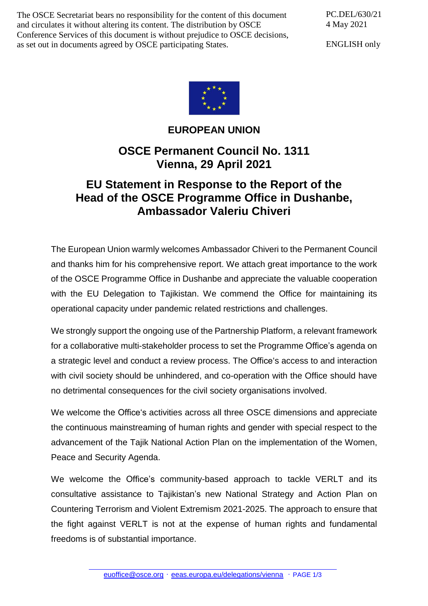The OSCE Secretariat bears no responsibility for the content of this document and circulates it without altering its content. The distribution by OSCE Conference Services of this document is without prejudice to OSCE decisions, as set out in documents agreed by OSCE participating States.

PC.DEL/630/21 4 May 2021

ENGLISH only



**EUROPEAN UNION**

## **OSCE Permanent Council No. 1311 Vienna, 29 April 2021**

## **EU Statement in Response to the Report of the Head of the OSCE Programme Office in Dushanbe, Ambassador Valeriu Chiveri**

The European Union warmly welcomes Ambassador Chiveri to the Permanent Council and thanks him for his comprehensive report. We attach great importance to the work of the OSCE Programme Office in Dushanbe and appreciate the valuable cooperation with the EU Delegation to Tajikistan. We commend the Office for maintaining its operational capacity under pandemic related restrictions and challenges.

We strongly support the ongoing use of the Partnership Platform, a relevant framework for a collaborative multi-stakeholder process to set the Programme Office's agenda on a strategic level and conduct a review process. The Office's access to and interaction with civil society should be unhindered, and co-operation with the Office should have no detrimental consequences for the civil society organisations involved.

We welcome the Office's activities across all three OSCE dimensions and appreciate the continuous mainstreaming of human rights and gender with special respect to the advancement of the Tajik National Action Plan on the implementation of the Women, Peace and Security Agenda.

We welcome the Office's community-based approach to tackle VERLT and its consultative assistance to Tajikistan's new National Strategy and Action Plan on Countering Terrorism and Violent Extremism 2021-2025. The approach to ensure that the fight against VERLT is not at the expense of human rights and fundamental freedoms is of substantial importance.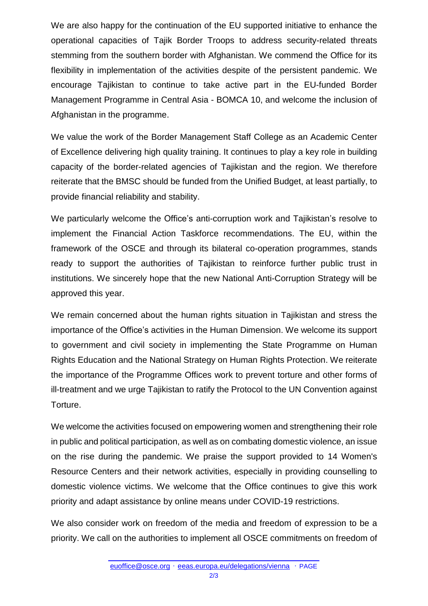We are also happy for the continuation of the EU supported initiative to enhance the operational capacities of Tajik Border Troops to address security-related threats stemming from the southern border with Afghanistan. We commend the Office for its flexibility in implementation of the activities despite of the persistent pandemic. We encourage Tajikistan to continue to take active part in the EU-funded Border Management Programme in Central Asia - BOMCA 10, and welcome the inclusion of Afghanistan in the programme.

We value the work of the Border Management Staff College as an Academic Center of Excellence delivering high quality training. It continues to play a key role in building capacity of the border-related agencies of Tajikistan and the region. We therefore reiterate that the BMSC should be funded from the Unified Budget, at least partially, to provide financial reliability and stability.

We particularly welcome the Office's anti-corruption work and Tajikistan's resolve to implement the Financial Action Taskforce recommendations. The EU, within the framework of the OSCE and through its bilateral co-operation programmes, stands ready to support the authorities of Tajikistan to reinforce further public trust in institutions. We sincerely hope that the new National Anti-Corruption Strategy will be approved this year.

We remain concerned about the human rights situation in Tajikistan and stress the importance of the Office's activities in the Human Dimension. We welcome its support to government and civil society in implementing the State Programme on Human Rights Education and the National Strategy on Human Rights Protection. We reiterate the importance of the Programme Offices work to prevent torture and other forms of ill-treatment and we urge Tajikistan to ratify the Protocol to the UN Convention against Torture.

We welcome the activities focused on empowering women and strengthening their role in public and political participation, as well as on combating domestic violence, an issue on the rise during the pandemic. We praise the support provided to 14 Women's Resource Centers and their network activities, especially in providing counselling to domestic violence victims. We welcome that the Office continues to give this work priority and adapt assistance by online means under COVID-19 restrictions.

We also consider work on freedom of the media and freedom of expression to be a priority. We call on the authorities to implement all OSCE commitments on freedom of